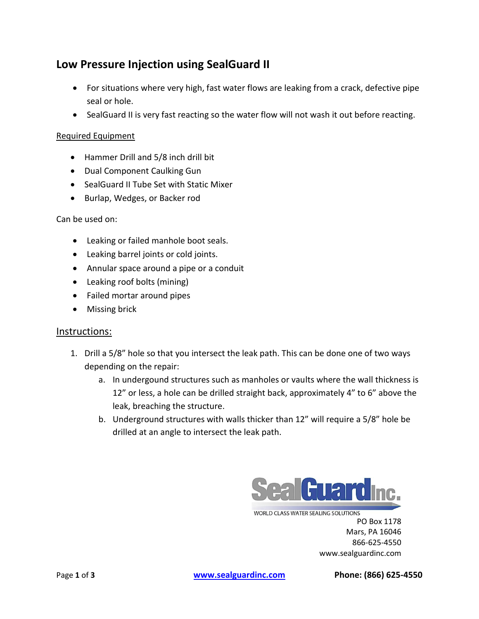## **Low Pressure Injection using SealGuard II**

- For situations where very high, fast water flows are leaking from a crack, defective pipe seal or hole.
- SealGuard II is very fast reacting so the water flow will not wash it out before reacting.

## Required Equipment

- Hammer Drill and 5/8 inch drill bit
- Dual Component Caulking Gun
- SealGuard II Tube Set with Static Mixer
- Burlap, Wedges, or Backer rod

Can be used on:

- Leaking or failed manhole boot seals.
- Leaking barrel joints or cold joints.
- Annular space around a pipe or a conduit
- Leaking roof bolts (mining)
- Failed mortar around pipes
- Missing brick

## Instructions:

- 1. Drill a 5/8" hole so that you intersect the leak path. This can be done one of two ways depending on the repair:
	- a. In undergound structures such as manholes or vaults where the wall thickness is 12" or less, a hole can be drilled straight back, approximately 4" to 6" above the leak, breaching the structure.
	- b. Underground structures with walls thicker than 12" will require a 5/8" hole be drilled at an angle to intersect the leak path.



**WORLD CLASS WATER SEALING SOLUTIONS** PO Box 1178 Mars, PA 16046 866-625-4550 www.sealguardinc.com

Page **1** of **3 [www.sealguardinc.com](http://www.sealguardinc.com/) Phone: (866) 625-4550**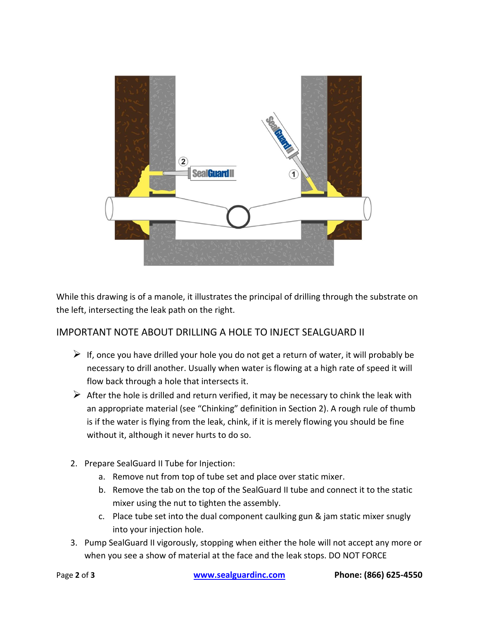

While this drawing is of a manole, it illustrates the principal of drilling through the substrate on the left, intersecting the leak path on the right.

## IMPORTANT NOTE ABOUT DRILLING A HOLE TO INJECT SEALGUARD II

- $\triangleright$  If, once you have drilled your hole you do not get a return of water, it will probably be necessary to drill another. Usually when water is flowing at a high rate of speed it will flow back through a hole that intersects it.
- $\triangleright$  After the hole is drilled and return verified, it may be necessary to chink the leak with an appropriate material (see "Chinking" definition in Section 2). A rough rule of thumb is if the water is flying from the leak, chink, if it is merely flowing you should be fine without it, although it never hurts to do so.
- 2. Prepare SealGuard II Tube for Injection:
	- a. Remove nut from top of tube set and place over static mixer.
	- b. Remove the tab on the top of the SealGuard II tube and connect it to the static mixer using the nut to tighten the assembly.
	- c. Place tube set into the dual component caulking gun & jam static mixer snugly into your injection hole.
- 3. Pump SealGuard II vigorously, stopping when either the hole will not accept any more or when you see a show of material at the face and the leak stops. DO NOT FORCE